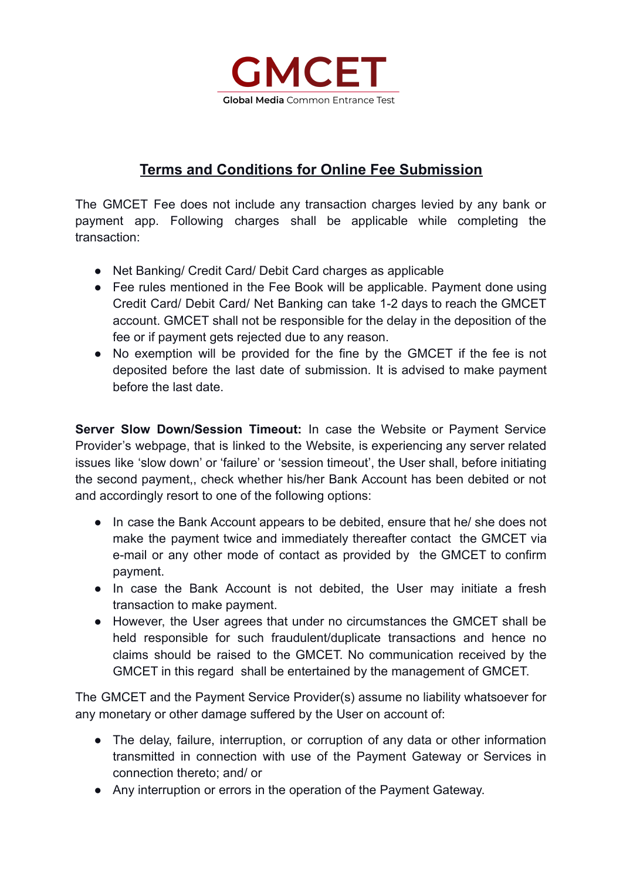

# **Terms and Conditions for Online Fee Submission**

The GMCET Fee does not include any transaction charges levied by any bank or payment app. Following charges shall be applicable while completing the transaction:

- Net Banking/ Credit Card/ Debit Card charges as applicable
- Fee rules mentioned in the Fee Book will be applicable. Payment done using Credit Card/ Debit Card/ Net Banking can take 1-2 days to reach the GMCET account. GMCET shall not be responsible for the delay in the deposition of the fee or if payment gets rejected due to any reason.
- No exemption will be provided for the fine by the GMCET if the fee is not deposited before the last date of submission. It is advised to make payment before the last date.

**Server Slow Down/Session Timeout:** In case the Website or Payment Service Provider's webpage, that is linked to the Website, is experiencing any server related issues like 'slow down' or 'failure' or 'session timeout', the User shall, before initiating the second payment,, check whether his/her Bank Account has been debited or not and accordingly resort to one of the following options:

- In case the Bank Account appears to be debited, ensure that he/ she does not make the payment twice and immediately thereafter contact the GMCET via e-mail or any other mode of contact as provided by the GMCET to confirm payment.
- In case the Bank Account is not debited, the User may initiate a fresh transaction to make payment.
- However, the User agrees that under no circumstances the GMCET shall be held responsible for such fraudulent/duplicate transactions and hence no claims should be raised to the GMCET. No communication received by the GMCET in this regard shall be entertained by the management of GMCET.

The GMCET and the Payment Service Provider(s) assume no liability whatsoever for any monetary or other damage suffered by the User on account of:

- The delay, failure, interruption, or corruption of any data or other information transmitted in connection with use of the Payment Gateway or Services in connection thereto; and/ or
- Any interruption or errors in the operation of the Payment Gateway.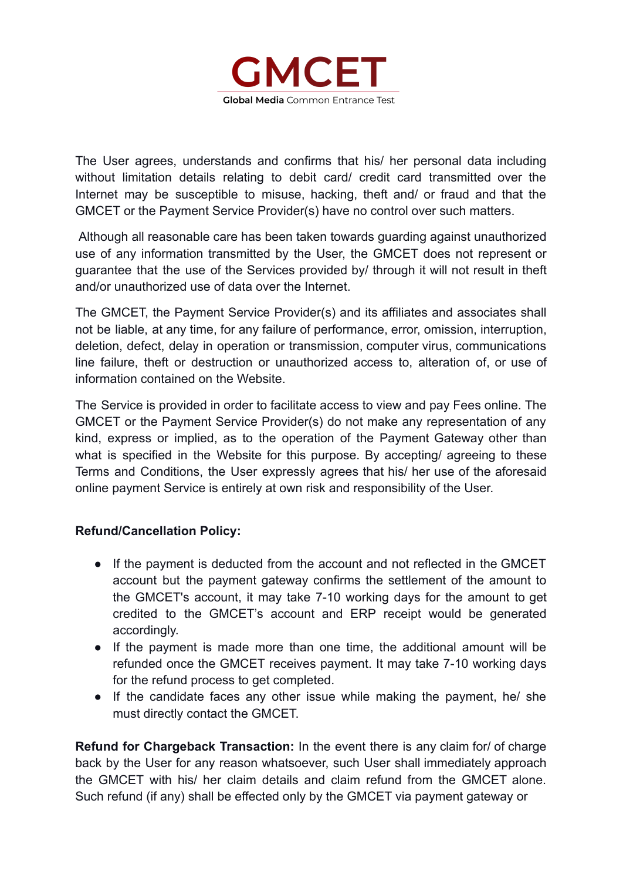

The User agrees, understands and confirms that his/ her personal data including without limitation details relating to debit card/ credit card transmitted over the Internet may be susceptible to misuse, hacking, theft and/ or fraud and that the GMCET or the Payment Service Provider(s) have no control over such matters.

Although all reasonable care has been taken towards guarding against unauthorized use of any information transmitted by the User, the GMCET does not represent or guarantee that the use of the Services provided by/ through it will not result in theft and/or unauthorized use of data over the Internet.

The GMCET, the Payment Service Provider(s) and its affiliates and associates shall not be liable, at any time, for any failure of performance, error, omission, interruption, deletion, defect, delay in operation or transmission, computer virus, communications line failure, theft or destruction or unauthorized access to, alteration of, or use of information contained on the Website.

The Service is provided in order to facilitate access to view and pay Fees online. The GMCET or the Payment Service Provider(s) do not make any representation of any kind, express or implied, as to the operation of the Payment Gateway other than what is specified in the Website for this purpose. By accepting/ agreeing to these Terms and Conditions, the User expressly agrees that his/ her use of the aforesaid online payment Service is entirely at own risk and responsibility of the User.

# **Refund/Cancellation Policy:**

- If the payment is deducted from the account and not reflected in the GMCET account but the payment gateway confirms the settlement of the amount to the GMCET's account, it may take 7-10 working days for the amount to get credited to the GMCET's account and ERP receipt would be generated accordingly.
- If the payment is made more than one time, the additional amount will be refunded once the GMCET receives payment. It may take 7-10 working days for the refund process to get completed.
- If the candidate faces any other issue while making the payment, he/ she must directly contact the GMCET.

**Refund for Chargeback Transaction:** In the event there is any claim for/ of charge back by the User for any reason whatsoever, such User shall immediately approach the GMCET with his/ her claim details and claim refund from the GMCET alone. Such refund (if any) shall be effected only by the GMCET via payment gateway or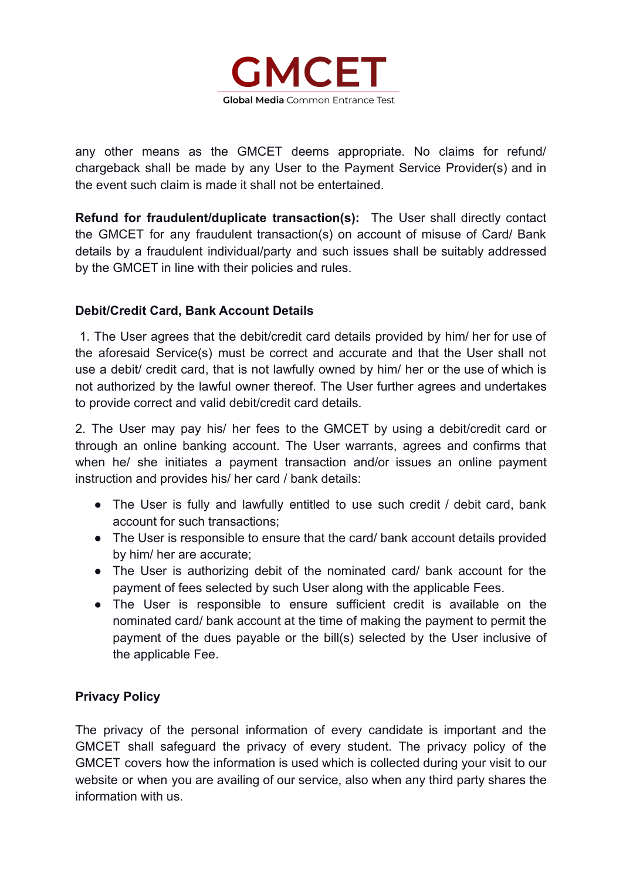

any other means as the GMCET deems appropriate. No claims for refund/ chargeback shall be made by any User to the Payment Service Provider(s) and in the event such claim is made it shall not be entertained.

**Refund for fraudulent/duplicate transaction(s):** The User shall directly contact the GMCET for any fraudulent transaction(s) on account of misuse of Card/ Bank details by a fraudulent individual/party and such issues shall be suitably addressed by the GMCET in line with their policies and rules.

# **Debit/Credit Card, Bank Account Details**

1. The User agrees that the debit/credit card details provided by him/ her for use of the aforesaid Service(s) must be correct and accurate and that the User shall not use a debit/ credit card, that is not lawfully owned by him/ her or the use of which is not authorized by the lawful owner thereof. The User further agrees and undertakes to provide correct and valid debit/credit card details.

2. The User may pay his/ her fees to the GMCET by using a debit/credit card or through an online banking account. The User warrants, agrees and confirms that when he/ she initiates a payment transaction and/or issues an online payment instruction and provides his/ her card / bank details:

- The User is fully and lawfully entitled to use such credit / debit card, bank account for such transactions;
- The User is responsible to ensure that the card/ bank account details provided by him/ her are accurate;
- The User is authorizing debit of the nominated card/ bank account for the payment of fees selected by such User along with the applicable Fees.
- The User is responsible to ensure sufficient credit is available on the nominated card/ bank account at the time of making the payment to permit the payment of the dues payable or the bill(s) selected by the User inclusive of the applicable Fee.

# **Privacy Policy**

The privacy of the personal information of every candidate is important and the GMCET shall safeguard the privacy of every student. The privacy policy of the GMCET covers how the information is used which is collected during your visit to our website or when you are availing of our service, also when any third party shares the information with us.